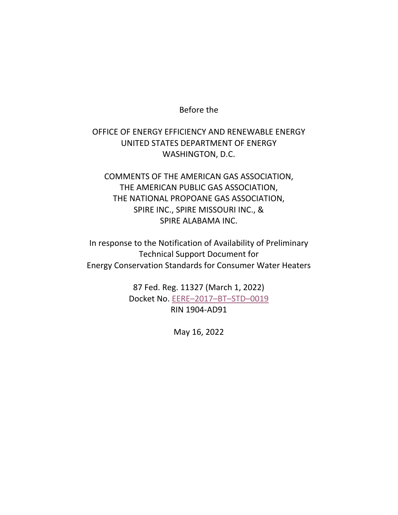## Before the

## OFFICE OF ENERGY EFFICIENCY AND RENEWABLE ENERGY UNITED STATES DEPARTMENT OF ENERGY WASHINGTON, D.C.

COMMENTS OF THE AMERICAN GAS ASSOCIATION, THE AMERICAN PUBLIC GAS ASSOCIATION, THE NATIONAL PROPOANE GAS ASSOCIATION, SPIRE INC., SPIRE MISSOURI INC., & SPIRE ALABAMA INC.

In response to the Notification of Availability of Preliminary Technical Support Document for Energy Conservation Standards for Consumer Water Heaters

> 87 Fed. Reg. 11327 (March 1, 2022) Docket No. [EERE–2017–BT–STD–0019](https://www.regulations.gov/docket?D=EERE-2017-BT-STD-0019) RIN 1904-AD91

> > May 16, 2022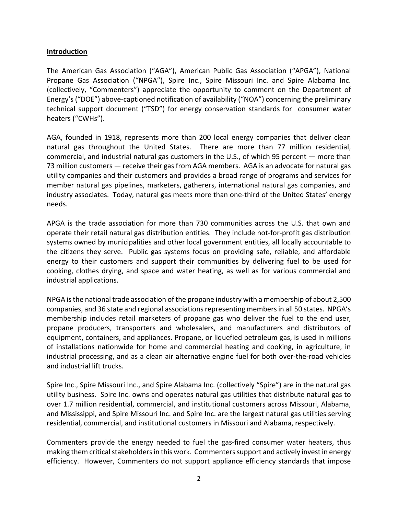## **Introduction**

The American Gas Association ("AGA"), American Public Gas Association ("APGA"), National Propane Gas Association ("NPGA"), Spire Inc., Spire Missouri Inc. and Spire Alabama Inc. (collectively, "Commenters") appreciate the opportunity to comment on the Department of Energy's ("DOE") above-captioned notification of availability ("NOA") concerning the preliminary technical support document ("TSD") for energy conservation standards for consumer water heaters ("CWHs").

AGA, founded in 1918, represents more than 200 local energy companies that deliver clean natural gas throughout the United States. There are more than 77 million residential, commercial, and industrial natural gas customers in the U.S., of which 95 percent — more than 73 million customers — receive their gas from AGA members. AGA is an advocate for natural gas utility companies and their customers and provides a broad range of programs and services for member natural gas pipelines, marketers, gatherers, international natural gas companies, and industry associates. Today, natural gas meets more than one-third of the United States' energy needs.

APGA is the trade association for more than 730 communities across the U.S. that own and operate their retail natural gas distribution entities. They include not-for-profit gas distribution systems owned by municipalities and other local government entities, all locally accountable to the citizens they serve. Public gas systems focus on providing safe, reliable, and affordable energy to their customers and support their communities by delivering fuel to be used for cooking, clothes drying, and space and water heating, as well as for various commercial and industrial applications.

NPGA is the national trade association of the propane industry with a membership of about 2,500 companies, and 36 state and regional associations representing members in all 50 states. NPGA's membership includes retail marketers of propane gas who deliver the fuel to the end user, propane producers, transporters and wholesalers, and manufacturers and distributors of equipment, containers, and appliances. Propane, or liquefied petroleum gas, is used in millions of installations nationwide for home and commercial heating and cooking, in agriculture, in industrial processing, and as a clean air alternative engine fuel for both over-the-road vehicles and industrial lift trucks.

Spire Inc., Spire Missouri Inc., and Spire Alabama Inc. (collectively "Spire") are in the natural gas utility business. Spire Inc. owns and operates natural gas utilities that distribute natural gas to over 1.7 million residential, commercial, and institutional customers across Missouri, Alabama, and Mississippi, and Spire Missouri Inc. and Spire Inc. are the largest natural gas utilities serving residential, commercial, and institutional customers in Missouri and Alabama, respectively.

Commenters provide the energy needed to fuel the gas-fired consumer water heaters, thus making them critical stakeholders in this work. Commenterssupport and actively invest in energy efficiency. However, Commenters do not support appliance efficiency standards that impose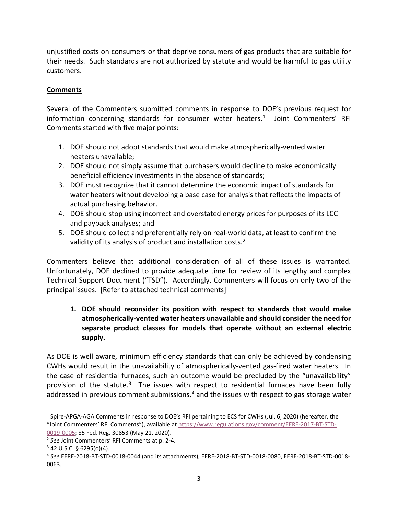unjustified costs on consumers or that deprive consumers of gas products that are suitable for their needs. Such standards are not authorized by statute and would be harmful to gas utility customers.

## **Comments**

Several of the Commenters submitted comments in response to DOE's previous request for information concerning standards for consumer water heaters.<sup>[1](#page-2-0)</sup> Joint Commenters' RFI Comments started with five major points:

- 1. DOE should not adopt standards that would make atmospherically-vented water heaters unavailable;
- 2. DOE should not simply assume that purchasers would decline to make economically beneficial efficiency investments in the absence of standards;
- 3. DOE must recognize that it cannot determine the economic impact of standards for water heaters without developing a base case for analysis that reflects the impacts of actual purchasing behavior.
- 4. DOE should stop using incorrect and overstated energy prices for purposes of its LCC and payback analyses; and
- 5. DOE should collect and preferentially rely on real-world data, at least to confirm the validity of its analysis of product and installation costs.<sup>[2](#page-2-1)</sup>

Commenters believe that additional consideration of all of these issues is warranted. Unfortunately, DOE declined to provide adequate time for review of its lengthy and complex Technical Support Document ("TSD"). Accordingly, Commenters will focus on only two of the principal issues. [Refer to attached technical comments]

**1. DOE should reconsider its position with respect to standards that would make atmospherically-vented water heaters unavailable and should consider the need for separate product classes for models that operate without an external electric supply.**

As DOE is well aware, minimum efficiency standards that can only be achieved by condensing CWHs would result in the unavailability of atmospherically-vented gas-fired water heaters. In the case of residential furnaces, such an outcome would be precluded by the "unavailability" provision of the statute.<sup>[3](#page-2-2)</sup> The issues with respect to residential furnaces have been fully addressed in previous comment submissions, $4$  and the issues with respect to gas storage water

<span id="page-2-0"></span><sup>1</sup> Spire-APGA-AGA Comments in response to DOE's RFI pertaining to ECS for CWHs (Jul. 6, 2020) (hereafter, the "Joint Commenters' RFI Comments"), available a[t https://www.regulations.gov/comment/EERE-2017-BT-STD-](https://www.regulations.gov/comment/EERE-2017-BT-STD-0019-0005)[0019-0005;](https://www.regulations.gov/comment/EERE-2017-BT-STD-0019-0005) 85 Fed. Reg. 30853 (May 21, 2020).

<span id="page-2-1"></span><sup>2</sup> *See* Joint Commenters' RFI Comments at p. 2-4.

<span id="page-2-2"></span> $3$  42 U.S.C. § 6295(o)(4).

<span id="page-2-3"></span><sup>4</sup> *See* EERE-2018-BT-STD-0018-0044 (and its attachments), EERE-2018-BT-STD-0018-0080, EERE-2018-BT-STD-0018- 0063.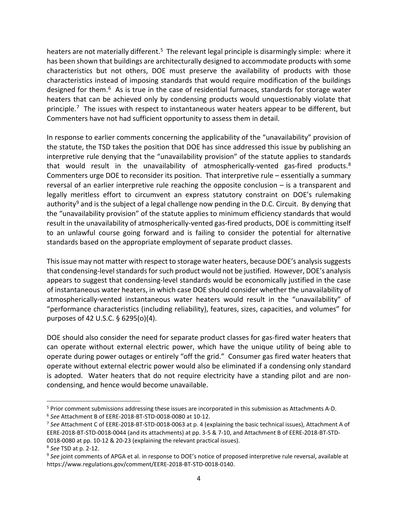heaters are not materially different.<sup>[5](#page-3-0)</sup> The relevant legal principle is disarmingly simple: where it has been shown that buildings are architecturally designed to accommodate products with some characteristics but not others, DOE must preserve the availability of products with those characteristics instead of imposing standards that would require modification of the buildings designed for them.<sup>6</sup> As is true in the case of residential furnaces, standards for storage water heaters that can be achieved only by condensing products would unquestionably violate that principle.<sup>[7](#page-3-2)</sup> The issues with respect to instantaneous water heaters appear to be different, but Commenters have not had sufficient opportunity to assess them in detail.

In response to earlier comments concerning the applicability of the "unavailability" provision of the statute, the TSD takes the position that DOE has since addressed this issue by publishing an interpretive rule denying that the "unavailability provision" of the statute applies to standards that would result in the unavailability of atmospherically-vented gas-fired products. $8$ Commenters urge DOE to reconsider its position. That interpretive rule – essentially a summary reversal of an earlier interpretive rule reaching the opposite conclusion – is a transparent and legally meritless effort to circumvent an express statutory constraint on DOE's rulemaking authority<sup>[9](#page-3-4)</sup> and is the subject of a legal challenge now pending in the D.C. Circuit. By denying that the "unavailability provision" of the statute applies to minimum efficiency standards that would result in the unavailability of atmospherically-vented gas-fired products, DOE is committing itself to an unlawful course going forward and is failing to consider the potential for alternative standards based on the appropriate employment of separate product classes.

This issue may not matter with respect to storage water heaters, because DOE's analysis suggests that condensing-level standards for such product would not be justified. However, DOE's analysis appears to suggest that condensing-level standards would be economically justified in the case of instantaneous water heaters, in which case DOE should consider whether the unavailability of atmospherically-vented instantaneous water heaters would result in the "unavailability" of "performance characteristics (including reliability), features, sizes, capacities, and volumes" for purposes of 42 U.S.C. § 6295(o)(4).

DOE should also consider the need for separate product classes for gas-fired water heaters that can operate without external electric power, which have the unique utility of being able to operate during power outages or entirely "off the grid." Consumer gas fired water heaters that operate without external electric power would also be eliminated if a condensing only standard is adopted. Water heaters that do not require electricity have a standing pilot and are noncondensing, and hence would become unavailable.

<span id="page-3-0"></span><sup>5</sup> Prior comment submissions addressing these issues are incorporated in this submission as Attachments A-D.

<span id="page-3-1"></span><sup>6</sup> *See* Attachment B of EERE-2018-BT-STD-0018-0080 at 10-12.

<span id="page-3-2"></span><sup>7</sup> *See* Attachment C of EERE-2018-BT-STD-0018-0063 at p. 4 (explaining the basic technical issues), Attachment A of EERE-2018-BT-STD-0018-0044 (and its attachments) at pp. 3-5 & 7-10, and Attachment B of EERE-2018-BT-STD-0018-0080 at pp. 10-12 & 20-23 (explaining the relevant practical issues).

<span id="page-3-3"></span><sup>8</sup> *See* TSD at p. 2-12.

<span id="page-3-4"></span><sup>&</sup>lt;sup>9</sup> See joint comments of APGA et al. in response to DOE's notice of proposed interpretive rule reversal, available at https://www.regulations.gov/comment/EERE-2018-BT-STD-0018-0140.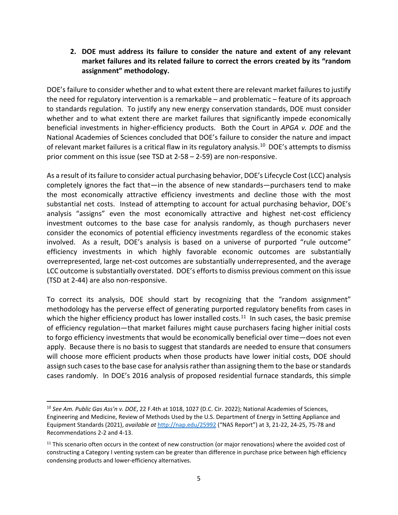**2. DOE must address its failure to consider the nature and extent of any relevant market failures and its related failure to correct the errors created by its "random assignment" methodology.**

DOE's failure to consider whether and to what extent there are relevant market failures to justify the need for regulatory intervention is a remarkable – and problematic – feature of its approach to standards regulation. To justify any new energy conservation standards, DOE must consider whether and to what extent there are market failures that significantly impede economically beneficial investments in higher-efficiency products. Both the Court in *APGA v. DOE* and the National Academies of Sciences concluded that DOE's failure to consider the nature and impact of relevant market failures is a critical flaw in its regulatory analysis.<sup>[10](#page-4-0)</sup> DOE's attempts to dismiss prior comment on this issue (see TSD at 2-58 – 2-59) are non-responsive.

As a result of its failure to consider actual purchasing behavior, DOE's Lifecycle Cost (LCC) analysis completely ignores the fact that—in the absence of new standards—purchasers tend to make the most economically attractive efficiency investments and decline those with the most substantial net costs. Instead of attempting to account for actual purchasing behavior, DOE's analysis "assigns" even the most economically attractive and highest net-cost efficiency investment outcomes to the base case for analysis randomly, as though purchasers never consider the economics of potential efficiency investments regardless of the economic stakes involved. As a result, DOE's analysis is based on a universe of purported "rule outcome" efficiency investments in which highly favorable economic outcomes are substantially overrepresented, large net-cost outcomes are substantially underrepresented, and the average LCC outcome is substantially overstated. DOE's efforts to dismiss previous comment on this issue (TSD at 2-44) are also non-responsive.

To correct its analysis, DOE should start by recognizing that the "random assignment" methodology has the perverse effect of generating purported regulatory benefits from cases in which the higher efficiency product has lower installed costs.<sup>11</sup> In such cases, the basic premise of efficiency regulation—that market failures might cause purchasers facing higher initial costs to forgo efficiency investments that would be economically beneficial over time—does not even apply. Because there is no basis to suggest that standards are needed to ensure that consumers will choose more efficient products when those products have lower initial costs, DOE should assign such cases to the base case for analysis rather than assigning them to the base or standards cases randomly. In DOE's 2016 analysis of proposed residential furnace standards, this simple

<span id="page-4-0"></span><sup>10</sup> *See Am. Public Gas Ass'n v. DOE*, 22 F.4th at 1018, 1027 (D.C. Cir. 2022); National Academies of Sciences, Engineering and Medicine, Review of Methods Used by the U.S. Department of Energy in Setting Appliance and Equipment Standards (2021), *available at* <http://nap.edu/25992> ("NAS Report") at 3, 21-22, 24-25, 75-78 and Recommendations 2-2 and 4-13.

<span id="page-4-1"></span> $11$  This scenario often occurs in the context of new construction (or major renovations) where the avoided cost of constructing a Category I venting system can be greater than difference in purchase price between high efficiency condensing products and lower-efficiency alternatives.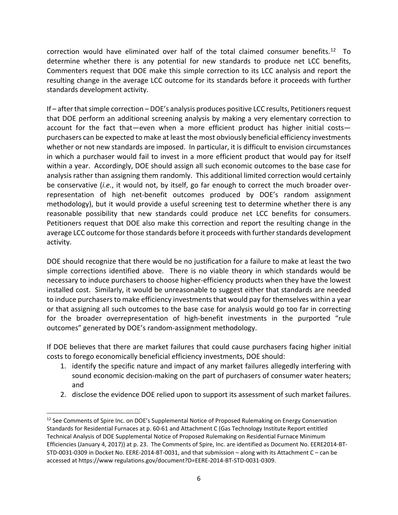correction would have eliminated over half of the total claimed consumer benefits.<sup>12</sup> To determine whether there is any potential for new standards to produce net LCC benefits, Commenters request that DOE make this simple correction to its LCC analysis and report the resulting change in the average LCC outcome for its standards before it proceeds with further standards development activity.

If – after that simple correction – DOE's analysis produces positive LCC results, Petitioners request that DOE perform an additional screening analysis by making a very elementary correction to account for the fact that—even when a more efficient product has higher initial costs purchasers can be expected to make at least the most obviously beneficial efficiency investments whether or not new standards are imposed. In particular, it is difficult to envision circumstances in which a purchaser would fail to invest in a more efficient product that would pay for itself within a year. Accordingly, DOE should assign all such economic outcomes to the base case for analysis rather than assigning them randomly. This additional limited correction would certainly be conservative (*i.e.*, it would not, by itself, go far enough to correct the much broader overrepresentation of high net-benefit outcomes produced by DOE's random assignment methodology), but it would provide a useful screening test to determine whether there is any reasonable possibility that new standards could produce net LCC benefits for consumers. Petitioners request that DOE also make this correction and report the resulting change in the average LCC outcome for those standards before it proceeds with further standards development activity.

DOE should recognize that there would be no justification for a failure to make at least the two simple corrections identified above. There is no viable theory in which standards would be necessary to induce purchasers to choose higher-efficiency products when they have the lowest installed cost. Similarly, it would be unreasonable to suggest either that standards are needed to induce purchasers to make efficiency investments that would pay for themselves within a year or that assigning all such outcomes to the base case for analysis would go too far in correcting for the broader overrepresentation of high-benefit investments in the purported "rule outcomes" generated by DOE's random-assignment methodology.

If DOE believes that there are market failures that could cause purchasers facing higher initial costs to forego economically beneficial efficiency investments, DOE should:

- 1. identify the specific nature and impact of any market failures allegedly interfering with sound economic decision-making on the part of purchasers of consumer water heaters; and
- 2. disclose the evidence DOE relied upon to support its assessment of such market failures.

<span id="page-5-0"></span><sup>&</sup>lt;sup>12</sup> See Comments of Spire Inc. on DOE's Supplemental Notice of Proposed Rulemaking on Energy Conservation Standards for Residential Furnaces at p. 60-61 and Attachment C (Gas Technology Institute Report entitled Technical Analysis of DOE Supplemental Notice of Proposed Rulemaking on Residential Furnace Minimum Efficiencies (January 4, 2017)) at p. 23. The Comments of Spire, Inc. are identified as Document No. EERE2014-BT-STD-0031-0309 in Docket No. EERE-2014-BT-0031, and that submission – along with its Attachment C – can be accessed at https://www regulations.gov/document?D=EERE-2014-BT-STD-0031-0309.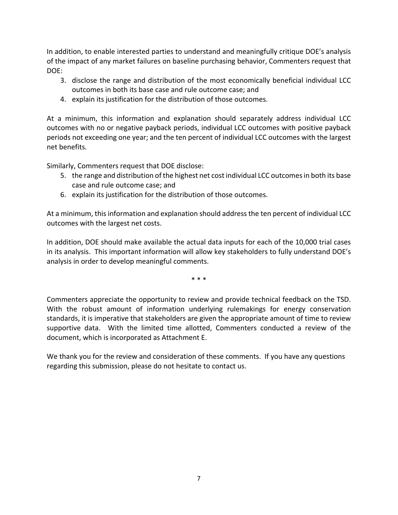In addition, to enable interested parties to understand and meaningfully critique DOE's analysis of the impact of any market failures on baseline purchasing behavior, Commenters request that DOE:

- 3. disclose the range and distribution of the most economically beneficial individual LCC outcomes in both its base case and rule outcome case; and
- 4. explain its justification for the distribution of those outcomes.

At a minimum, this information and explanation should separately address individual LCC outcomes with no or negative payback periods, individual LCC outcomes with positive payback periods not exceeding one year; and the ten percent of individual LCC outcomes with the largest net benefits.

Similarly, Commenters request that DOE disclose:

- 5. the range and distribution of the highest net cost individual LCC outcomes in both its base case and rule outcome case; and
- 6. explain its justification for the distribution of those outcomes.

At a minimum, this information and explanation should address the ten percent of individual LCC outcomes with the largest net costs.

In addition, DOE should make available the actual data inputs for each of the 10,000 trial cases in its analysis. This important information will allow key stakeholders to fully understand DOE's analysis in order to develop meaningful comments.

\* \* \*

Commenters appreciate the opportunity to review and provide technical feedback on the TSD. With the robust amount of information underlying rulemakings for energy conservation standards, it is imperative that stakeholders are given the appropriate amount of time to review supportive data. With the limited time allotted, Commenters conducted a review of the document, which is incorporated as Attachment E.

We thank you for the review and consideration of these comments. If you have any questions regarding this submission, please do not hesitate to contact us.